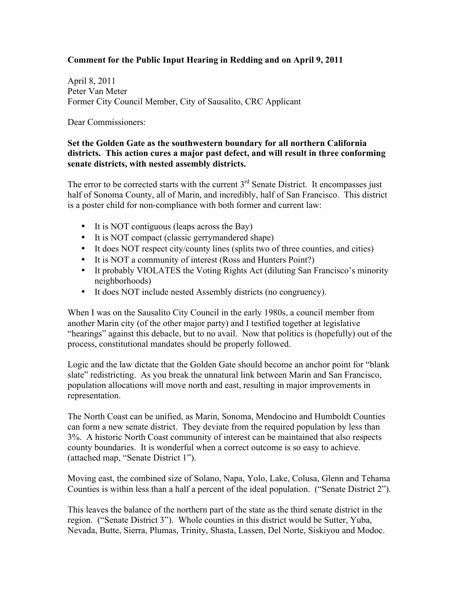## **Comment for the Public Input Hearing in Redding and on April 9, 2011**

April 8, 2011 Peter Van Meter Former City Council Member, City of Sausalito, CRC Applicant

Dear Commissioners:

## **Set the Golden Gate as the southwestern boundary for all northern California districts. This action cures a major past defect, and will result in three conforming senate districts, with nested assembly districts.**

The error to be corrected starts with the current  $3<sup>rd</sup>$  Senate District. It encompasses just half of Sonoma County, all of Marin, and incredibly, half of San Francisco. This district is a poster child for non-compliance with both former and current law:

- It is NOT contiguous (leaps across the Bay)
- It is NOT compact (classic gerrymandered shape)
- It does NOT respect city/county lines (splits two of three counties, and cities)
- It is NOT a community of interest (Ross and Hunters Point?)
- It probably VIOLATES the Voting Rights Act (diluting San Francisco's minority neighborhoods)
- It does NOT include nested Assembly districts (no congruency).

 "hearings" against this debacle, but to no avail. Now that politics is (hopefully) out of the When I was on the Sausalito City Council in the early 1980s, a council member from another Marin city (of the other major party) and I testified together at legislative process, constitutional mandates should be properly followed.

 slate" redistricting. As you break the unnatural link between Marin and San Francisco, Logic and the law dictate that the Golden Gate should become an anchor point for "blank population allocations will move north and east, resulting in major improvements in representation.

 The North Coast can be unified, as Marin, Sonoma, Mendocino and Humboldt Counties county boundaries. It is wonderful when a correct outcome is so easy to achieve. (attached map, "Senate District 1"). can form a new senate district. They deviate from the required population by less than 3%. A historic North Coast community of interest can be maintained that also respects

Moving east, the combined size of Solano, Napa, Yolo, Lake, Colusa, Glenn and Tehama Counties is within less than a half a percent of the ideal population. ("Senate District 2").

This leaves the balance of the northern part of the state as the third senate district in the region. ("Senate District 3"). Whole counties in this district would be Sutter, Yuba, Nevada, Butte, Sierra, Plumas, Trinity, Shasta, Lassen, Del Norte, Siskiyou and Modoc.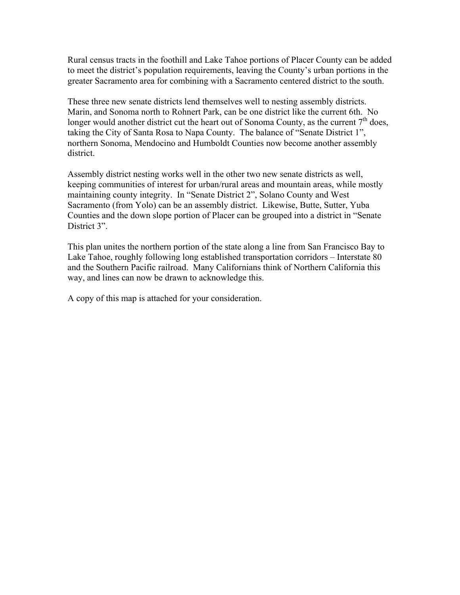to meet the district's population requirements, leaving the County's urban portions in the Rural census tracts in the foothill and Lake Tahoe portions of Placer County can be added greater Sacramento area for combining with a Sacramento centered district to the south.

 northern Sonoma, Mendocino and Humboldt Counties now become another assembly These three new senate districts lend themselves well to nesting assembly districts. Marin, and Sonoma north to Rohnert Park, can be one district like the current 6th. No longer would another district cut the heart out of Sonoma County, as the current  $7<sup>th</sup>$  does, taking the City of Santa Rosa to Napa County. The balance of "Senate District 1", district.

 Assembly district nesting works well in the other two new senate districts as well, Counties and the down slope portion of Placer can be grouped into a district in "Senate keeping communities of interest for urban/rural areas and mountain areas, while mostly maintaining county integrity. In "Senate District 2", Solano County and West Sacramento (from Yolo) can be an assembly district. Likewise, Butte, Sutter, Yuba District 3".

 Lake Tahoe, roughly following long established transportation corridors – Interstate 80 This plan unites the northern portion of the state along a line from San Francisco Bay to and the Southern Pacific railroad. Many Californians think of Northern California this way, and lines can now be drawn to acknowledge this.

A copy of this map is attached for your consideration.